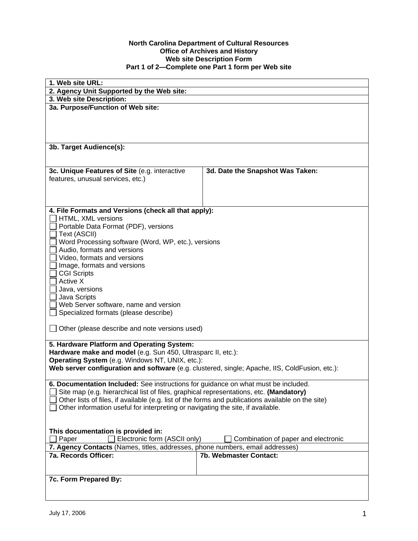## **North Carolina Department of Cultural Resources Office of Archives and History Web site Description Form Part 1 of 2—Complete one Part 1 form per Web site**

| 1. Web site URL:                                                                                                |                                  |  |
|-----------------------------------------------------------------------------------------------------------------|----------------------------------|--|
| 2. Agency Unit Supported by the Web site:                                                                       |                                  |  |
| 3. Web site Description:                                                                                        |                                  |  |
| 3a. Purpose/Function of Web site:                                                                               |                                  |  |
|                                                                                                                 |                                  |  |
|                                                                                                                 |                                  |  |
|                                                                                                                 |                                  |  |
| 3b. Target Audience(s):                                                                                         |                                  |  |
|                                                                                                                 |                                  |  |
|                                                                                                                 |                                  |  |
| 3c. Unique Features of Site (e.g. interactive                                                                   | 3d. Date the Snapshot Was Taken: |  |
| features, unusual services, etc.)                                                                               |                                  |  |
|                                                                                                                 |                                  |  |
|                                                                                                                 |                                  |  |
| 4. File Formats and Versions (check all that apply):                                                            |                                  |  |
| HTML, XML versions                                                                                              |                                  |  |
| Portable Data Format (PDF), versions                                                                            |                                  |  |
| Text (ASCII)<br>Word Processing software (Word, WP, etc.), versions                                             |                                  |  |
| Audio, formats and versions                                                                                     |                                  |  |
| Video, formats and versions                                                                                     |                                  |  |
| Image, formats and versions                                                                                     |                                  |  |
| <b>CGI Scripts</b>                                                                                              |                                  |  |
| Active X                                                                                                        |                                  |  |
| Java, versions                                                                                                  |                                  |  |
| Java Scripts<br>Web Server software, name and version                                                           |                                  |  |
| Specialized formats (please describe)                                                                           |                                  |  |
|                                                                                                                 |                                  |  |
| Other (please describe and note versions used)                                                                  |                                  |  |
|                                                                                                                 |                                  |  |
| 5. Hardware Platform and Operating System:                                                                      |                                  |  |
| Hardware make and model (e.g. Sun 450, Ultrasparc II, etc.):<br>Operating System (e.g. Windows NT, UNIX, etc.): |                                  |  |
| Web server configuration and software (e.g. clustered, single; Apache, IIS, ColdFusion, etc.):                  |                                  |  |
|                                                                                                                 |                                  |  |
| 6. Documentation Included: See instructions for guidance on what must be included.                              |                                  |  |
| Site map (e.g. hierarchical list of files, graphical representations, etc. (Mandatory)                          |                                  |  |
| Other lists of files, if available (e.g. list of the forms and publications available on the site)              |                                  |  |
| Other information useful for interpreting or navigating the site, if available.                                 |                                  |  |
|                                                                                                                 |                                  |  |
| This documentation is provided in:                                                                              |                                  |  |
| Electronic form (ASCII only)<br>Combination of paper and electronic<br>Paper                                    |                                  |  |
| 7. Agency Contacts (Names, titles, addresses, phone numbers, email addresses)                                   |                                  |  |
| 7a. Records Officer:                                                                                            | 7b. Webmaster Contact:           |  |
|                                                                                                                 |                                  |  |
| 7c. Form Prepared By:                                                                                           |                                  |  |
|                                                                                                                 |                                  |  |
|                                                                                                                 |                                  |  |